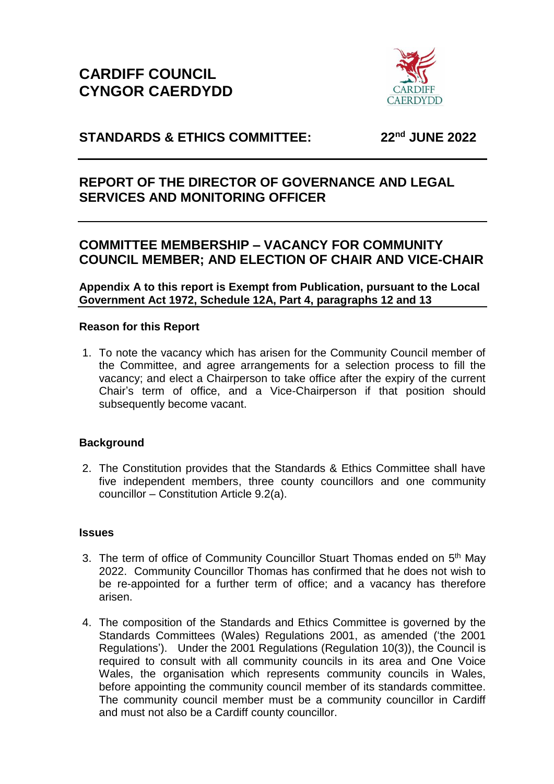

# **STANDARDS & ETHICS COMMITTEE: 22nd JUNE 2022**

# **REPORT OF THE DIRECTOR OF GOVERNANCE AND LEGAL SERVICES AND MONITORING OFFICER**

## **COMMITTEE MEMBERSHIP – VACANCY FOR COMMUNITY COUNCIL MEMBER; AND ELECTION OF CHAIR AND VICE-CHAIR**

**Appendix A to this report is Exempt from Publication, pursuant to the Local Government Act 1972, Schedule 12A, Part 4, paragraphs 12 and 13**

## **Reason for this Report**

1. To note the vacancy which has arisen for the Community Council member of the Committee, and agree arrangements for a selection process to fill the vacancy; and elect a Chairperson to take office after the expiry of the current Chair's term of office, and a Vice-Chairperson if that position should subsequently become vacant.

## **Background**

2. The Constitution provides that the Standards & Ethics Committee shall have five independent members, three county councillors and one community councillor – Constitution Article 9.2(a).

## **Issues**

- 3. The term of office of Community Councillor Stuart Thomas ended on 5<sup>th</sup> May 2022. Community Councillor Thomas has confirmed that he does not wish to be re-appointed for a further term of office; and a vacancy has therefore arisen.
- 4. The composition of the Standards and Ethics Committee is governed by the Standards Committees (Wales) Regulations 2001, as amended ('the 2001 Regulations'). Under the 2001 Regulations (Regulation 10(3)), the Council is required to consult with all community councils in its area and One Voice Wales, the organisation which represents community councils in Wales, before appointing the community council member of its standards committee. The community council member must be a community councillor in Cardiff and must not also be a Cardiff county councillor.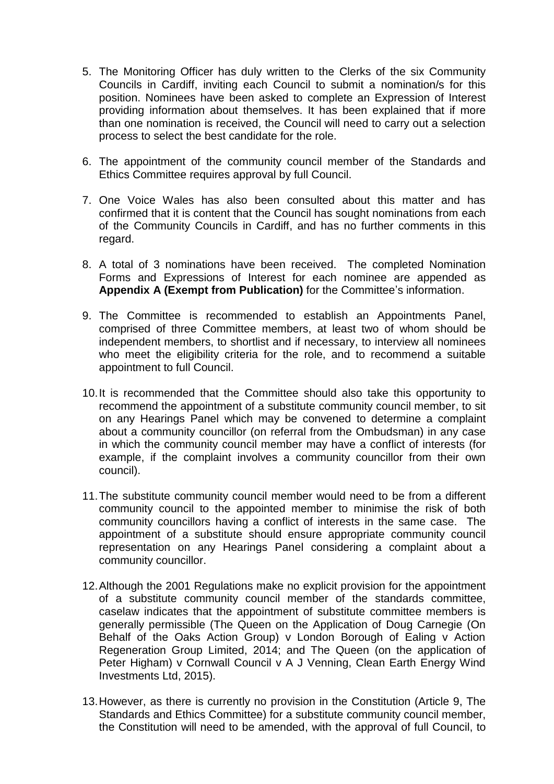- 5. The Monitoring Officer has duly written to the Clerks of the six Community Councils in Cardiff, inviting each Council to submit a nomination/s for this position. Nominees have been asked to complete an Expression of Interest providing information about themselves. It has been explained that if more than one nomination is received, the Council will need to carry out a selection process to select the best candidate for the role.
- 6. The appointment of the community council member of the Standards and Ethics Committee requires approval by full Council.
- 7. One Voice Wales has also been consulted about this matter and has confirmed that it is content that the Council has sought nominations from each of the Community Councils in Cardiff, and has no further comments in this regard.
- 8. A total of 3 nominations have been received. The completed Nomination Forms and Expressions of Interest for each nominee are appended as **Appendix A (Exempt from Publication)** for the Committee's information.
- 9. The Committee is recommended to establish an Appointments Panel, comprised of three Committee members, at least two of whom should be independent members, to shortlist and if necessary, to interview all nominees who meet the eligibility criteria for the role, and to recommend a suitable appointment to full Council.
- 10.It is recommended that the Committee should also take this opportunity to recommend the appointment of a substitute community council member, to sit on any Hearings Panel which may be convened to determine a complaint about a community councillor (on referral from the Ombudsman) in any case in which the community council member may have a conflict of interests (for example, if the complaint involves a community councillor from their own council).
- 11.The substitute community council member would need to be from a different community council to the appointed member to minimise the risk of both community councillors having a conflict of interests in the same case. The appointment of a substitute should ensure appropriate community council representation on any Hearings Panel considering a complaint about a community councillor.
- 12.Although the 2001 Regulations make no explicit provision for the appointment of a substitute community council member of the standards committee, caselaw indicates that the appointment of substitute committee members is generally permissible (The Queen on the Application of Doug Carnegie (On Behalf of the Oaks Action Group) v London Borough of Ealing v Action Regeneration Group Limited, 2014; and The Queen (on the application of Peter Higham) v Cornwall Council v A J Venning, Clean Earth Energy Wind Investments Ltd, 2015).
- 13.However, as there is currently no provision in the Constitution (Article 9, The Standards and Ethics Committee) for a substitute community council member, the Constitution will need to be amended, with the approval of full Council, to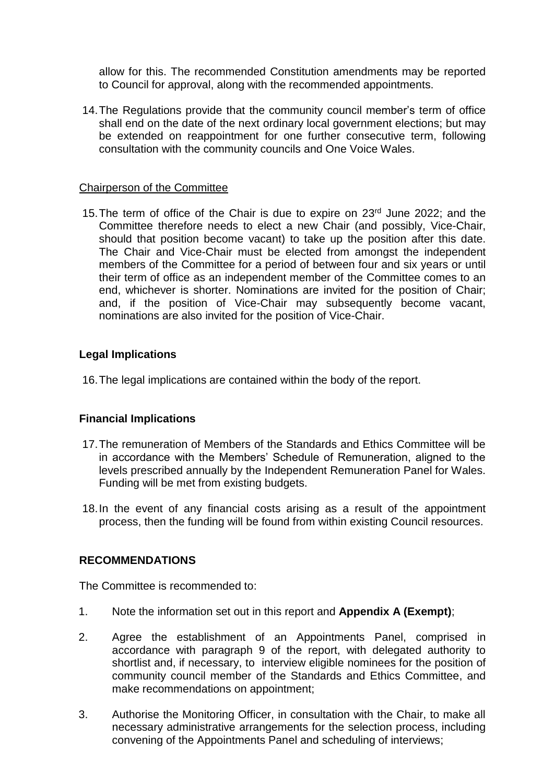allow for this. The recommended Constitution amendments may be reported to Council for approval, along with the recommended appointments.

14.The Regulations provide that the community council member's term of office shall end on the date of the next ordinary local government elections; but may be extended on reappointment for one further consecutive term, following consultation with the community councils and One Voice Wales.

### Chairperson of the Committee

15. The term of office of the Chair is due to expire on 23<sup>rd</sup> June 2022; and the Committee therefore needs to elect a new Chair (and possibly, Vice-Chair, should that position become vacant) to take up the position after this date. The Chair and Vice-Chair must be elected from amongst the independent members of the Committee for a period of between four and six years or until their term of office as an independent member of the Committee comes to an end, whichever is shorter. Nominations are invited for the position of Chair; and, if the position of Vice-Chair may subsequently become vacant, nominations are also invited for the position of Vice-Chair.

## **Legal Implications**

16.The legal implications are contained within the body of the report.

## **Financial Implications**

- 17.The remuneration of Members of the Standards and Ethics Committee will be in accordance with the Members' Schedule of Remuneration, aligned to the levels prescribed annually by the Independent Remuneration Panel for Wales. Funding will be met from existing budgets.
- 18.In the event of any financial costs arising as a result of the appointment process, then the funding will be found from within existing Council resources.

#### **RECOMMENDATIONS**

The Committee is recommended to:

- 1. Note the information set out in this report and **Appendix A (Exempt)**;
- 2. Agree the establishment of an Appointments Panel, comprised in accordance with paragraph 9 of the report, with delegated authority to shortlist and, if necessary, to interview eligible nominees for the position of community council member of the Standards and Ethics Committee, and make recommendations on appointment;
- 3. Authorise the Monitoring Officer, in consultation with the Chair, to make all necessary administrative arrangements for the selection process, including convening of the Appointments Panel and scheduling of interviews;